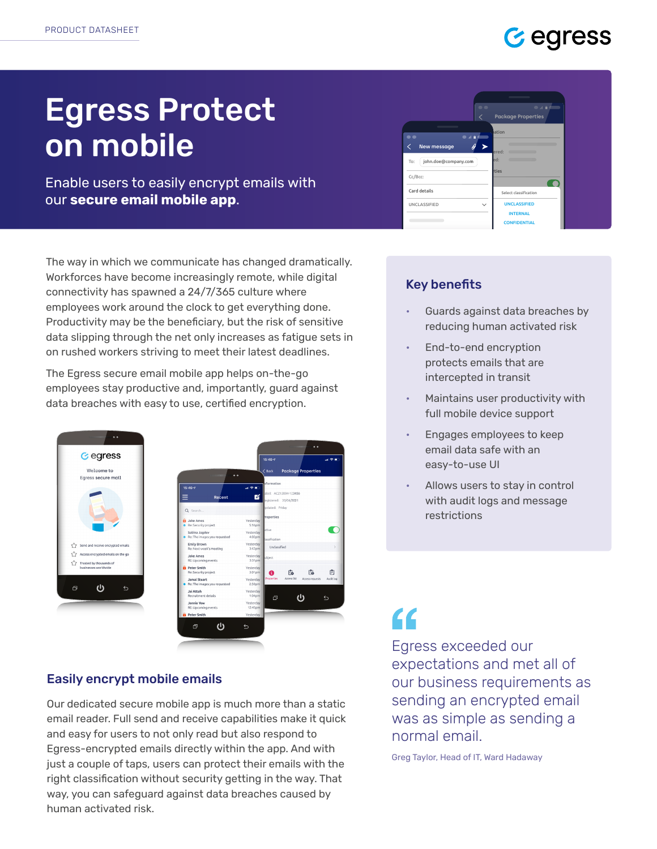### **Gegress**

# Egress Protect on mobile

Enable users to easily encrypt emails with our **secure email mobile app**.

The way in which we communicate has changed dramatically. Workforces have become increasingly remote, while digital connectivity has spawned a 24/7/365 culture where employees work around the clock to get everything done. Productivity may be the beneficiary, but the risk of sensitive data slipping through the net only increases as fatigue sets in on rushed workers striving to meet their latest deadlines.

The Egress secure email mobile app helps on-the-go employees stay productive and, importantly, guard against data breaches with easy to use, certified encryption.



#### Easily encrypt mobile emails

Our dedicated secure mobile app is much more than a static email reader. Full send and receive capabilities make it quick and easy for users to not only read but also respond to Egress-encrypted emails directly within the app. And with just a couple of taps, users can protect their emails with the right classification without security getting in the way. That way, you can safeguard against data breaches caused by human activated risk.



#### Key benefits

- Guards against data breaches by reducing human activated risk
- End-to-end encryption protects emails that are intercepted in transit
- Maintains user productivity with full mobile device support
- Engages employees to keep email data safe with an easy-to-use UI
- Allows users to stay in control with audit logs and message restrictions

# $\epsilon$

Egress exceeded our expectations and met all of our business requirements as sending an encrypted email was as simple as sending a normal email.

Greg Taylor, Head of IT, Ward Hadaway